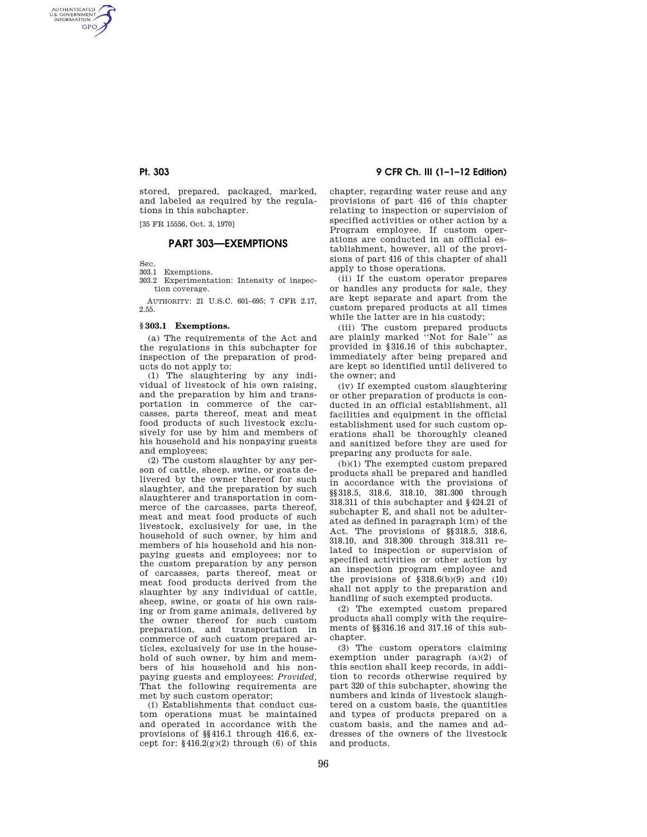AUTHENTICATED<br>U.S. GOVERNMENT<br>INFORMATION **GPO** 

> stored, prepared, packaged, marked, and labeled as required by the regulations in this subchapter.

[35 FR 15556, Oct. 3, 1970]

# **PART 303—EXEMPTIONS**

Sec.

303.1 Exemptions.

303.2 Experimentation: Intensity of inspection coverage.

AUTHORITY: 21 U.S.C. 601–695; 7 CFR 2.17, 2.55.

# **§ 303.1 Exemptions.**

(a) The requirements of the Act and the regulations in this subchapter for inspection of the preparation of products do not apply to:

(1) The slaughtering by any individual of livestock of his own raising, and the preparation by him and transportation in commerce of the carcasses, parts thereof, meat and meat food products of such livestock exclusively for use by him and members of his household and his nonpaying guests and employees;

(2) The custom slaughter by any person of cattle, sheep, swine, or goats delivered by the owner thereof for such slaughter, and the preparation by such slaughterer and transportation in commerce of the carcasses, parts thereof, meat and meat food products of such livestock, exclusively for use, in the household of such owner, by him and members of his household and his nonpaying guests and employees; nor to the custom preparation by any person of carcasses, parts thereof, meat or meat food products derived from the slaughter by any individual of cattle, sheep, swine, or goats of his own raising or from game animals, delivered by the owner thereof for such custom preparation, and transportation in commerce of such custom prepared articles, exclusively for use in the household of such owner, by him and members of his household and his nonpaying guests and employees: *Provided,*  That the following requirements are met by such custom operator;

(i) Establishments that conduct custom operations must be maintained and operated in accordance with the provisions of §§416.1 through 416.6, except for:  $$416.2(g)(2)$  through (6) of this

# **Pt. 303 9 CFR Ch. III (1–1–12 Edition)**

chapter, regarding water reuse and any provisions of part 416 of this chapter relating to inspection or supervision of specified activities or other action by a Program employee. If custom operations are conducted in an official establishment, however, all of the provisions of part 416 of this chapter of shall apply to those operations.

(ii) If the custom operator prepares or handles any products for sale, they are kept separate and apart from the custom prepared products at all times while the latter are in his custody;

(iii) The custom prepared products are plainly marked ''Not for Sale'' as provided in §316.16 of this subchapter, immediately after being prepared and are kept so identified until delivered to the owner; and

(iv) If exempted custom slaughtering or other preparation of products is conducted in an official establishment, all facilities and equipment in the official establishment used for such custom operations shall be thoroughly cleaned and sanitized before they are used for preparing any products for sale.

(b)(1) The exempted custom prepared products shall be prepared and handled in accordance with the provisions of §§318.5, 318.6, 318.10, 381.300 through 318.311 of this subchapter and §424.21 of subchapter E, and shall not be adulterated as defined in paragraph 1(m) of the Act. The provisions of §§318.5, 318.6, 318.10, and 318.300 through 318.311 related to inspection or supervision of specified activities or other action by an inspection program employee and the provisions of  $$318.6(b)(9)$  and  $(10)$ shall not apply to the preparation and handling of such exempted products.

(2) The exempted custom prepared products shall comply with the requirements of §§316.16 and 317.16 of this subchapter.

(3) The custom operators claiming exemption under paragraph (a)(2) of this section shall keep records, in addition to records otherwise required by part 320 of this subchapter, showing the numbers and kinds of livestock slaughtered on a custom basis, the quantities and types of products prepared on a custom basis, and the names and addresses of the owners of the livestock and products.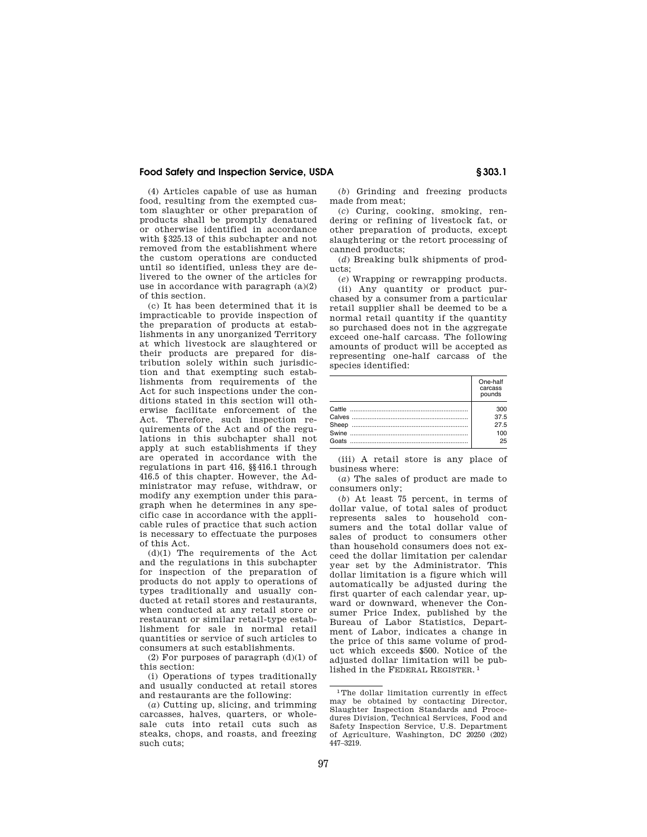(4) Articles capable of use as human food, resulting from the exempted custom slaughter or other preparation of products shall be promptly denatured or otherwise identified in accordance with §325.13 of this subchapter and not removed from the establishment where the custom operations are conducted until so identified, unless they are delivered to the owner of the articles for use in accordance with paragraph  $(a)(2)$ of this section.

(c) It has been determined that it is impracticable to provide inspection of the preparation of products at establishments in any unorganized Territory at which livestock are slaughtered or their products are prepared for distribution solely within such jurisdiction and that exempting such establishments from requirements of the Act for such inspections under the conditions stated in this section will otherwise facilitate enforcement of the Act. Therefore, such inspection requirements of the Act and of the regulations in this subchapter shall not apply at such establishments if they are operated in accordance with the regulations in part 416, §§416.1 through 416.5 of this chapter. However, the Administrator may refuse, withdraw, or modify any exemption under this paragraph when he determines in any specific case in accordance with the applicable rules of practice that such action is necessary to effectuate the purposes of this Act.

 $(d)(1)$  The requirements of the Act and the regulations in this subchapter for inspection of the preparation of products do not apply to operations of types traditionally and usually conducted at retail stores and restaurants, when conducted at any retail store or restaurant or similar retail-type establishment for sale in normal retail quantities or service of such articles to consumers at such establishments.

(2) For purposes of paragraph (d)(1) of this section:

(i) Operations of types traditionally and usually conducted at retail stores and restaurants are the following:

(*a*) Cutting up, slicing, and trimming carcasses, halves, quarters, or wholesale cuts into retail cuts such as steaks, chops, and roasts, and freezing such cuts;

(*b*) Grinding and freezing products made from meat;

(*c*) Curing, cooking, smoking, rendering or refining of livestock fat, or other preparation of products, except slaughtering or the retort processing of canned products;

(*d*) Breaking bulk shipments of products;

(*e*) Wrapping or rewrapping products.

(ii) Any quantity or product purchased by a consumer from a particular retail supplier shall be deemed to be a normal retail quantity if the quantity so purchased does not in the aggregate exceed one-half carcass. The following amounts of product will be accepted as representing one-half carcass of the species identified:

| One-half<br>carcass<br>pounds |
|-------------------------------|
| 300                           |
| 37.5                          |
| 27.5                          |
| 100                           |
| 25                            |

(iii) A retail store is any place of business where:

(*a*) The sales of product are made to consumers only;

(*b*) At least 75 percent, in terms of dollar value, of total sales of product represents sales to household consumers and the total dollar value of sales of product to consumers other than household consumers does not exceed the dollar limitation per calendar year set by the Administrator. This dollar limitation is a figure which will automatically be adjusted during the first quarter of each calendar year, upward or downward, whenever the Consumer Price Index, published by the Bureau of Labor Statistics, Department of Labor, indicates a change in the price of this same volume of product which exceeds \$500. Notice of the adjusted dollar limitation will be published in the FEDERAL REGISTER. 1

<sup>1</sup>The dollar limitation currently in effect may be obtained by contacting Director, Slaughter Inspection Standards and Procedures Division, Technical Services, Food and Safety Inspection Service, U.S. Department of Agriculture, Washington, DC 20250 (202) 447–3219.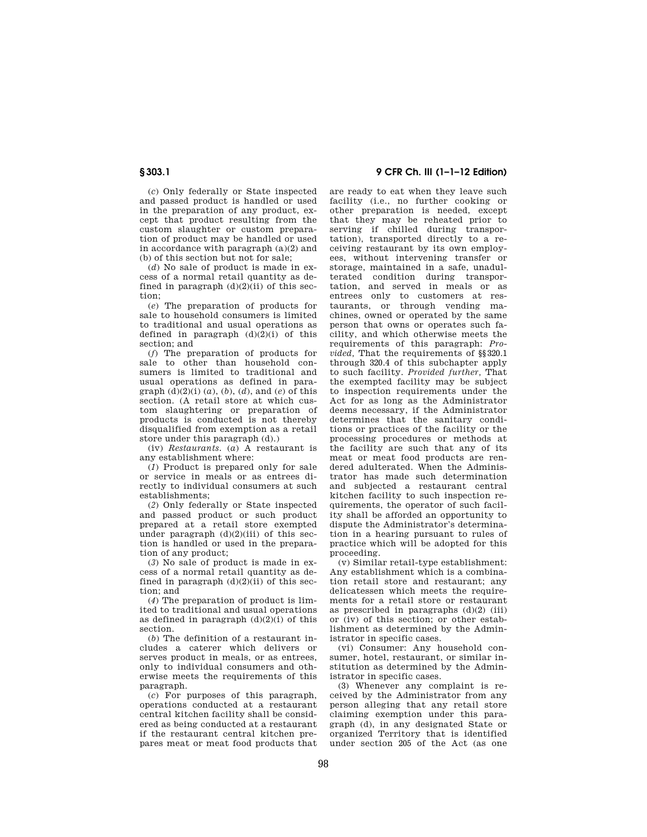(*c*) Only federally or State inspected and passed product is handled or used in the preparation of any product, except that product resulting from the custom slaughter or custom preparation of product may be handled or used in accordance with paragraph (a)(2) and (b) of this section but not for sale;

(*d*) No sale of product is made in excess of a normal retail quantity as defined in paragraph  $(d)(2)(ii)$  of this section;

(*e*) The preparation of products for sale to household consumers is limited to traditional and usual operations as defined in paragraph  $(d)(2)(i)$  of this section; and

(*f*) The preparation of products for sale to other than household consumers is limited to traditional and usual operations as defined in paragraph  $(d)(2)(i)$   $(a)$ ,  $(b)$ ,  $(d)$ , and  $(e)$  of this section. (A retail store at which custom slaughtering or preparation of products is conducted is not thereby disqualified from exemption as a retail store under this paragraph (d).)

(iv) *Restaurants.* (*a*) A restaurant is any establishment where:

(*1*) Product is prepared only for sale or service in meals or as entrees directly to individual consumers at such establishments;

(*2*) Only federally or State inspected and passed product or such product prepared at a retail store exempted under paragraph  $(d)(2)(iii)$  of this section is handled or used in the preparation of any product;

(*3*) No sale of product is made in excess of a normal retail quantity as defined in paragraph  $(d)(2)(ii)$  of this section; and

(*4*) The preparation of product is limited to traditional and usual operations as defined in paragraph  $(d)(2)(i)$  of this section.

(*b*) The definition of a restaurant includes a caterer which delivers or serves product in meals, or as entrees, only to individual consumers and otherwise meets the requirements of this paragraph.

(*c*) For purposes of this paragraph, operations conducted at a restaurant central kitchen facility shall be considered as being conducted at a restaurant if the restaurant central kitchen prepares meat or meat food products that

**§ 303.1 9 CFR Ch. III (1–1–12 Edition)** 

are ready to eat when they leave such facility (i.e., no further cooking or other preparation is needed, except that they may be reheated prior to serving if chilled during transportation), transported directly to a receiving restaurant by its own employees, without intervening transfer or storage, maintained in a safe, unadulterated condition during transportation, and served in meals or as entrees only to customers at restaurants, or through vending machines, owned or operated by the same person that owns or operates such facility, and which otherwise meets the requirements of this paragraph: *Provided,* That the requirements of §§320.1 through 320.4 of this subchapter apply to such facility. *Provided further,* That the exempted facility may be subject to inspection requirements under the Act for as long as the Administrator deems necessary, if the Administrator determines that the sanitary conditions or practices of the facility or the processing procedures or methods at the facility are such that any of its meat or meat food products are rendered adulterated. When the Administrator has made such determination and subjected a restaurant central kitchen facility to such inspection requirements, the operator of such facility shall be afforded an opportunity to dispute the Administrator's determination in a hearing pursuant to rules of practice which will be adopted for this proceeding.

(v) Similar retail-type establishment: Any establishment which is a combination retail store and restaurant; any delicatessen which meets the requirements for a retail store or restaurant as prescribed in paragraphs  $(d)(2)$  (iii) or (iv) of this section; or other establishment as determined by the Administrator in specific cases.

(vi) Consumer: Any household consumer, hotel, restaurant, or similar institution as determined by the Administrator in specific cases.

(3) Whenever any complaint is received by the Administrator from any person alleging that any retail store claiming exemption under this paragraph (d), in any designated State or organized Territory that is identified under section 205 of the Act (as one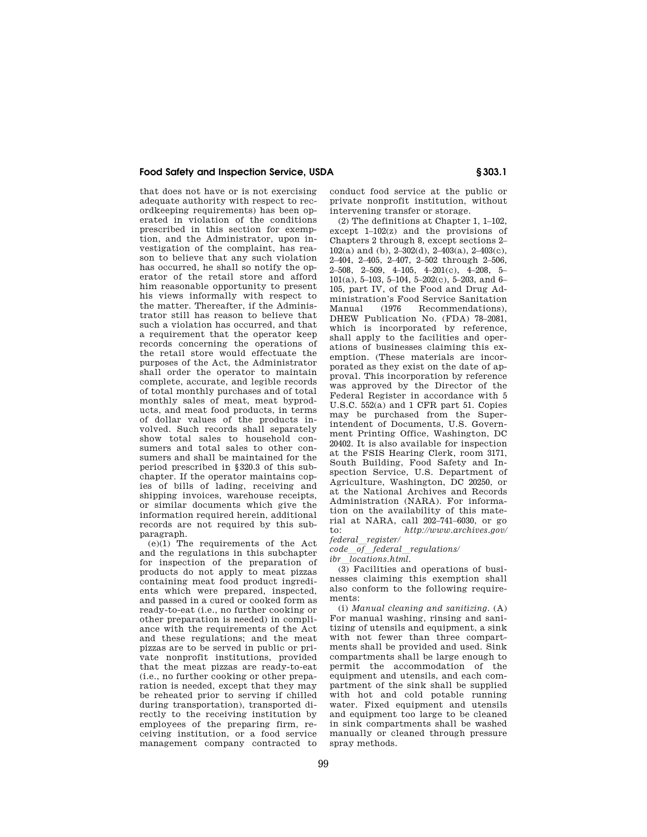that does not have or is not exercising adequate authority with respect to recordkeeping requirements) has been operated in violation of the conditions prescribed in this section for exemption, and the Administrator, upon investigation of the complaint, has reason to believe that any such violation has occurred, he shall so notify the operator of the retail store and afford him reasonable opportunity to present his views informally with respect to the matter. Thereafter, if the Administrator still has reason to believe that such a violation has occurred, and that a requirement that the operator keep records concerning the operations of the retail store would effectuate the purposes of the Act, the Administrator shall order the operator to maintain complete, accurate, and legible records of total monthly purchases and of total monthly sales of meat, meat byproducts, and meat food products, in terms of dollar values of the products involved. Such records shall separately show total sales to household consumers and total sales to other consumers and shall be maintained for the period prescribed in §320.3 of this subchapter. If the operator maintains copies of bills of lading, receiving and shipping invoices, warehouse receipts, or similar documents which give the information required herein, additional records are not required by this subparagraph.

(e)(1) The requirements of the Act and the regulations in this subchapter for inspection of the preparation of products do not apply to meat pizzas containing meat food product ingredients which were prepared, inspected, and passed in a cured or cooked form as ready-to-eat (i.e., no further cooking or other preparation is needed) in compliance with the requirements of the Act and these regulations; and the meat pizzas are to be served in public or private nonprofit institutions, provided that the meat pizzas are ready-to-eat (i.e., no further cooking or other preparation is needed, except that they may be reheated prior to serving if chilled during transportation), transported directly to the receiving institution by employees of the preparing firm, receiving institution, or a food service management company contracted to

conduct food service at the public or private nonprofit institution, without intervening transfer or storage.

(2) The definitions at Chapter 1, 1–102, except 1–102(z) and the provisions of Chapters 2 through 8, except sections 2– 102(a) and (b), 2–302(d), 2–403(a), 2–403(c), 2–404, 2–405, 2–407, 2–502 through 2–506, 2–508, 2–509, 4–105, 4–201(c), 4–208, 5–  $101(a)$ , 5–103, 5–104, 5–202(c), 5–203, and 6– 105, part IV, of the Food and Drug Administration's Food Service Sanitation Manual (1976 Recommendations), DHEW Publication No. (FDA) 78–2081, which is incorporated by reference, shall apply to the facilities and operations of businesses claiming this exemption. (These materials are incorporated as they exist on the date of approval. This incorporation by reference was approved by the Director of the Federal Register in accordance with 5 U.S.C. 552(a) and 1 CFR part 51. Copies may be purchased from the Superintendent of Documents, U.S. Government Printing Office, Washington, DC 20402. It is also available for inspection at the FSIS Hearing Clerk, room 3171, South Building, Food Safety and Inspection Service, U.S. Department of Agriculture, Washington, DC 20250, or at the National Archives and Records Administration (NARA). For information on the availability of this material at NARA, call 202–741–6030, or go to: *http://www.archives.gov/ federal*l*register/* 

*code*l*of*l*federal*l*regulations/* 

*ibr locations.html.* 

 $\overline{(3)}$  Facilities and operations of businesses claiming this exemption shall also conform to the following requirements:

(i) *Manual cleaning and sanitizing.* (A) For manual washing, rinsing and sanitizing of utensils and equipment, a sink with not fewer than three compartments shall be provided and used. Sink compartments shall be large enough to permit the accommodation of the equipment and utensils, and each compartment of the sink shall be supplied with hot and cold potable running water. Fixed equipment and utensils and equipment too large to be cleaned in sink compartments shall be washed manually or cleaned through pressure spray methods.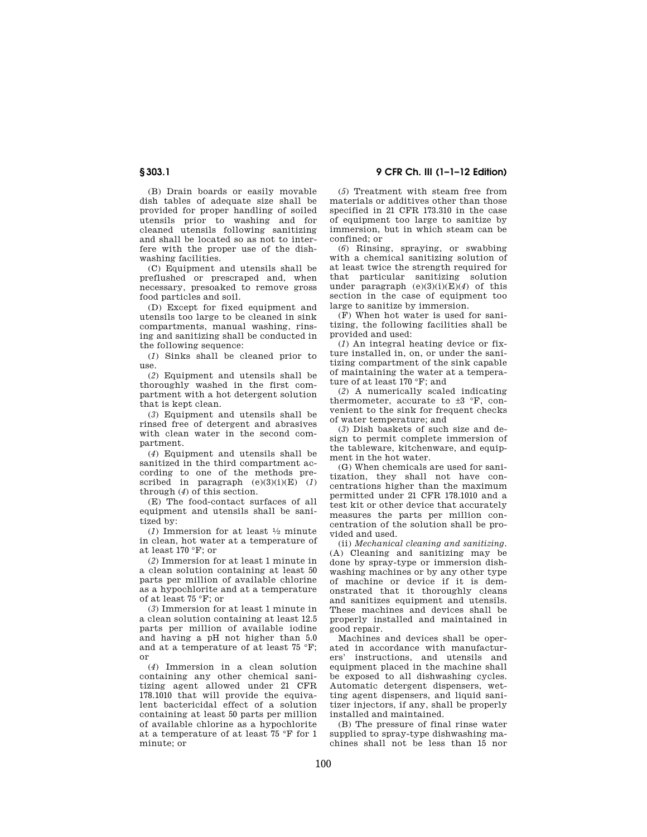(B) Drain boards or easily movable dish tables of adequate size shall be provided for proper handling of soiled utensils prior to washing and for cleaned utensils following sanitizing and shall be located so as not to interfere with the proper use of the dishwashing facilities.

(C) Equipment and utensils shall be preflushed or prescraped and, when necessary, presoaked to remove gross food particles and soil.

(D) Except for fixed equipment and utensils too large to be cleaned in sink compartments, manual washing, rinsing and sanitizing shall be conducted in the following sequence:

(*1*) Sinks shall be cleaned prior to use.

(*2*) Equipment and utensils shall be thoroughly washed in the first compartment with a hot detergent solution that is kept clean.

(*3*) Equipment and utensils shall be rinsed free of detergent and abrasives with clean water in the second compartment.

(*4*) Equipment and utensils shall be sanitized in the third compartment according to one of the methods prescribed in paragraph (e)(3)(i)(E) (*1*) through (*4*) of this section.

(E) The food-contact surfaces of all equipment and utensils shall be sanitized by:

(*1*) Immersion for at least 1⁄2 minute in clean, hot water at a temperature of at least 170 °F; or

(*2*) Immersion for at least 1 minute in a clean solution containing at least 50 parts per million of available chlorine as a hypochlorite and at a temperature of at least 75 °F; or

(*3*) Immersion for at least 1 minute in a clean solution containing at least 12.5 parts per million of available iodine and having a pH not higher than 5.0 and at a temperature of at least 75 °F; or

(*4*) Immersion in a clean solution containing any other chemical sanitizing agent allowed under 21 CFR 178.1010 that will provide the equivalent bactericidal effect of a solution containing at least 50 parts per million of available chlorine as a hypochlorite at a temperature of at least 75 °F for 1 minute; or

**§ 303.1 9 CFR Ch. III (1–1–12 Edition)** 

(*5*) Treatment with steam free from materials or additives other than those specified in 21 CFR 173.310 in the case of equipment too large to sanitize by immersion, but in which steam can be confined; or

(*6*) Rinsing, spraying, or swabbing with a chemical sanitizing solution of at least twice the strength required for that particular sanitizing solution under paragraph  $(e)(3)(i)(E)(4)$  of this section in the case of equipment too large to sanitize by immersion.

(F) When hot water is used for sanitizing, the following facilities shall be provided and used:

(*1*) An integral heating device or fixture installed in, on, or under the sanitizing compartment of the sink capable of maintaining the water at a temperature of at least 170 °F; and

(*2*) A numerically scaled indicating thermometer, accurate to ±3 °F, convenient to the sink for frequent checks of water temperature; and

(*3*) Dish baskets of such size and design to permit complete immersion of the tableware, kitchenware, and equipment in the hot water.

(G) When chemicals are used for sanitization, they shall not have concentrations higher than the maximum permitted under 21 CFR 178.1010 and a test kit or other device that accurately measures the parts per million concentration of the solution shall be provided and used.

(ii) *Mechanical cleaning and sanitizing.*  (A) Cleaning and sanitizing may be done by spray-type or immersion dishwashing machines or by any other type of machine or device if it is demonstrated that it thoroughly cleans and sanitizes equipment and utensils. These machines and devices shall be properly installed and maintained in good repair.

Machines and devices shall be operated in accordance with manufacturers' instructions, and utensils and equipment placed in the machine shall be exposed to all dishwashing cycles. Automatic detergent dispensers, wetting agent dispensers, and liquid sanitizer injectors, if any, shall be properly installed and maintained.

(B) The pressure of final rinse water supplied to spray-type dishwashing machines shall not be less than 15 nor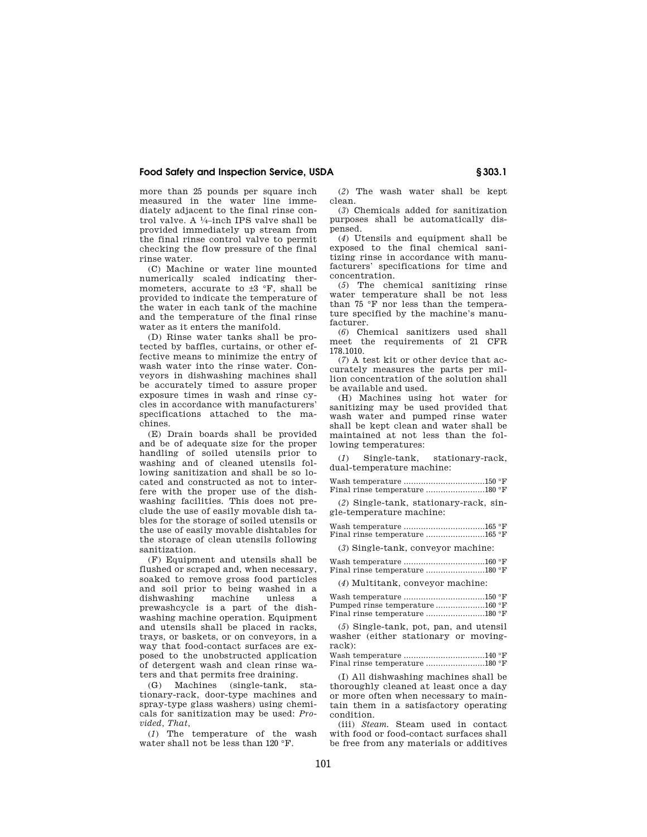more than 25 pounds per square inch measured in the water line immediately adjacent to the final rinse control valve. A 1⁄4–inch IPS valve shall be provided immediately up stream from the final rinse control valve to permit checking the flow pressure of the final rinse water.

(C) Machine or water line mounted numerically scaled indicating thermometers, accurate to ±3 °F, shall be provided to indicate the temperature of the water in each tank of the machine and the temperature of the final rinse water as it enters the manifold.

(D) Rinse water tanks shall be protected by baffles, curtains, or other effective means to minimize the entry of wash water into the rinse water. Conveyors in dishwashing machines shall be accurately timed to assure proper exposure times in wash and rinse cycles in accordance with manufacturers' specifications attached to the machines.

(E) Drain boards shall be provided and be of adequate size for the proper handling of soiled utensils prior to washing and of cleaned utensils following sanitization and shall be so located and constructed as not to interfere with the proper use of the dishwashing facilities. This does not preclude the use of easily movable dish tables for the storage of soiled utensils or the use of easily movable dishtables for the storage of clean utensils following sanitization.

(F) Equipment and utensils shall be flushed or scraped and, when necessary, soaked to remove gross food particles and soil prior to being washed in a dishwashing machine unless a prewashcycle is a part of the dishwashing machine operation. Equipment and utensils shall be placed in racks, trays, or baskets, or on conveyors, in a way that food-contact surfaces are exposed to the unobstructed application of detergent wash and clean rinse waters and that permits free draining.

(G) Machines (single-tank, stationary-rack, door-type machines and spray-type glass washers) using chemicals for sanitization may be used: *Provided, That,* 

(*1*) The temperature of the wash water shall not be less than 120 °F.

(*2*) The wash water shall be kept clean.

(*3*) Chemicals added for sanitization purposes shall be automatically dispensed.

(*4*) Utensils and equipment shall be exposed to the final chemical sanitizing rinse in accordance with manufacturers' specifications for time and concentration.

(*5*) The chemical sanitizing rinse water temperature shall be not less than 75 °F nor less than the temperature specified by the machine's manufacturer.

(*6*) Chemical sanitizers used shall meet the requirements of 21 CFR 178.1010.

(*7*) A test kit or other device that accurately measures the parts per million concentration of the solution shall be available and used.

(H) Machines using hot water for sanitizing may be used provided that wash water and pumped rinse water shall be kept clean and water shall be maintained at not less than the following temperatures:

(*1*) Single-tank, stationary-rack, dual-temperature machine:

(*2*) Single-tank, stationary-rack, single-temperature machine:

| Final rinse temperature 165 °F |  |
|--------------------------------|--|

(*3*) Single-tank, conveyor machine:

| Final rinse temperature 180 °F |  |
|--------------------------------|--|

(*4*) Multitank, conveyor machine:

| Pumped rinse temperature 160 °F |  |
|---------------------------------|--|
| Final rinse temperature 180 °F  |  |

(*5*) Single-tank, pot, pan, and utensil washer (either stationary or movingrack):

Wash temperature .................................140 °F Final rinse temperature ........................180 °F

(I) All dishwashing machines shall be thoroughly cleaned at least once a day or more often when necessary to maintain them in a satisfactory operating condition.

(iii) *Steam.* Steam used in contact with food or food-contact surfaces shall be free from any materials or additives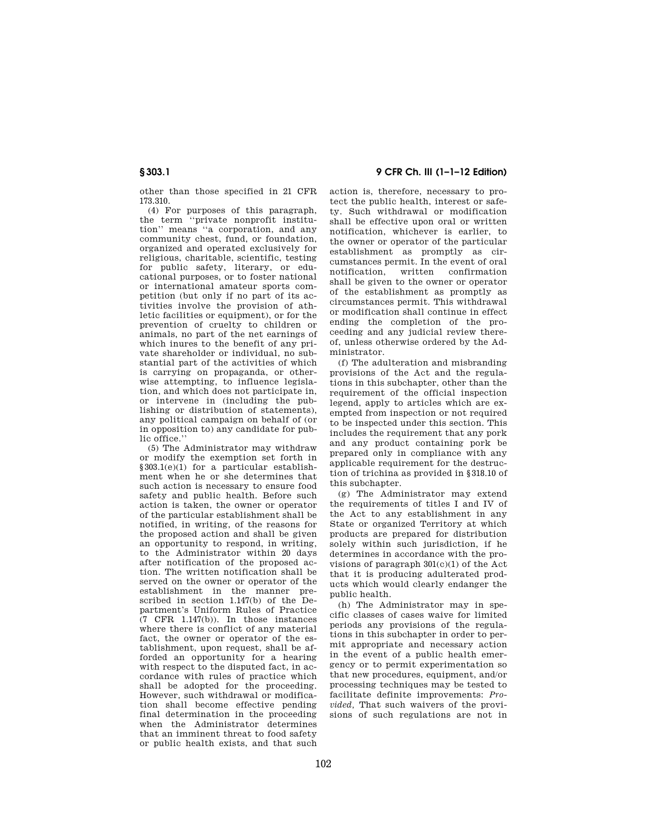other than those specified in 21 CFR 173.310.

(4) For purposes of this paragraph, the term ''private nonprofit institution'' means ''a corporation, and any community chest, fund, or foundation, organized and operated exclusively for religious, charitable, scientific, testing for public safety, literary, or educational purposes, or to foster national or international amateur sports competition (but only if no part of its activities involve the provision of athletic facilities or equipment), or for the prevention of cruelty to children or animals, no part of the net earnings of which inures to the benefit of any private shareholder or individual, no substantial part of the activities of which is carrying on propaganda, or otherwise attempting, to influence legislation, and which does not participate in, or intervene in (including the publishing or distribution of statements), any political campaign on behalf of (or in opposition to) any candidate for public office.''

(5) The Administrator may withdraw or modify the exemption set forth in §303.1(e)(1) for a particular establishment when he or she determines that such action is necessary to ensure food safety and public health. Before such action is taken, the owner or operator of the particular establishment shall be notified, in writing, of the reasons for the proposed action and shall be given an opportunity to respond, in writing, to the Administrator within 20 days after notification of the proposed action. The written notification shall be served on the owner or operator of the establishment in the manner prescribed in section 1.147(b) of the Department's Uniform Rules of Practice  $(T$  CFR 1.147(b)). In those instances where there is conflict of any material fact, the owner or operator of the establishment, upon request, shall be afforded an opportunity for a hearing with respect to the disputed fact, in accordance with rules of practice which shall be adopted for the proceeding. However, such withdrawal or modification shall become effective pending final determination in the proceeding when the Administrator determines that an imminent threat to food safety or public health exists, and that such

# **§ 303.1 9 CFR Ch. III (1–1–12 Edition)**

action is, therefore, necessary to protect the public health, interest or safety. Such withdrawal or modification shall be effective upon oral or written notification, whichever is earlier, to the owner or operator of the particular establishment as promptly as circumstances permit. In the event of oral notification, written confirmation shall be given to the owner or operator of the establishment as promptly as circumstances permit. This withdrawal or modification shall continue in effect ending the completion of the proceeding and any judicial review thereof, unless otherwise ordered by the Administrator.

(f) The adulteration and misbranding provisions of the Act and the regulations in this subchapter, other than the requirement of the official inspection legend, apply to articles which are exempted from inspection or not required to be inspected under this section. This includes the requirement that any pork and any product containing pork be prepared only in compliance with any applicable requirement for the destruction of trichina as provided in §318.10 of this subchapter.

(g) The Administrator may extend the requirements of titles I and IV of the Act to any establishment in any State or organized Territory at which products are prepared for distribution solely within such jurisdiction, if he determines in accordance with the provisions of paragraph 301(c)(1) of the Act that it is producing adulterated products which would clearly endanger the public health.

(h) The Administrator may in specific classes of cases waive for limited periods any provisions of the regulations in this subchapter in order to permit appropriate and necessary action in the event of a public health emergency or to permit experimentation so that new procedures, equipment, and/or processing techniques may be tested to facilitate definite improvements: *Provided,* That such waivers of the provisions of such regulations are not in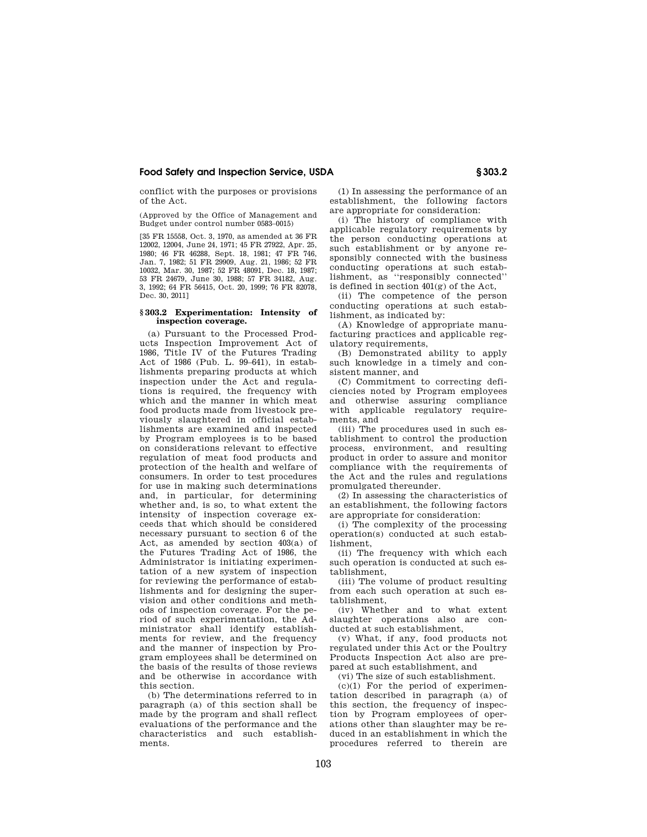conflict with the purposes or provisions of the Act.

(Approved by the Office of Management and Budget under control number 0583–0015)

[35 FR 15558, Oct. 3, 1970, as amended at 36 FR 12002, 12004, June 24, 1971; 45 FR 27922, Apr. 25, 1980; 46 FR 46288, Sept. 18, 1981; 47 FR 746, Jan. 7, 1982; 51 FR 29909, Aug. 21, 1986; 52 FR 10032, Mar. 30, 1987; 52 FR 48091, Dec. 18, 1987; 53 FR 24679, June 30, 1988; 57 FR 34182, Aug. 3, 1992; 64 FR 56415, Oct. 20, 1999; 76 FR 82078, Dec. 30, 2011]

#### **§ 303.2 Experimentation: Intensity of inspection coverage.**

(a) Pursuant to the Processed Products Inspection Improvement Act of 1986, Title IV of the Futures Trading Act of 1986 (Pub. L. 99–641), in establishments preparing products at which inspection under the Act and regulations is required, the frequency with which and the manner in which meat food products made from livestock previously slaughtered in official establishments are examined and inspected by Program employees is to be based on considerations relevant to effective regulation of meat food products and protection of the health and welfare of consumers. In order to test procedures for use in making such determinations and, in particular, for determining whether and, is so, to what extent the intensity of inspection coverage exceeds that which should be considered necessary pursuant to section 6 of the Act, as amended by section 403(a) of the Futures Trading Act of 1986, the Administrator is initiating experimentation of a new system of inspection for reviewing the performance of establishments and for designing the supervision and other conditions and methods of inspection coverage. For the period of such experimentation, the Administrator shall identify establishments for review, and the frequency and the manner of inspection by Program employees shall be determined on the basis of the results of those reviews and be otherwise in accordance with this section.

(b) The determinations referred to in paragraph (a) of this section shall be made by the program and shall reflect evaluations of the performance and the characteristics and such establishments.

(1) In assessing the performance of an establishment, the following factors are appropriate for consideration:

(i) The history of compliance with applicable regulatory requirements by the person conducting operations at such establishment or by anyone responsibly connected with the business conducting operations at such establishment, as ''responsibly connected'' is defined in section  $401(g)$  of the Act,

(ii) The competence of the person conducting operations at such establishment, as indicated by:

(A) Knowledge of appropriate manufacturing practices and applicable regulatory requirements,

(B) Demonstrated ability to apply such knowledge in a timely and consistent manner, and

(C) Commitment to correcting deficiencies noted by Program employees and otherwise assuring compliance with applicable regulatory requirements, and

(iii) The procedures used in such establishment to control the production process, environment, and resulting product in order to assure and monitor compliance with the requirements of the Act and the rules and regulations promulgated thereunder.

(2) In assessing the characteristics of an establishment, the following factors are appropriate for consideration:

(i) The complexity of the processing operation(s) conducted at such establishment,

(ii) The frequency with which each such operation is conducted at such establishment,

(iii) The volume of product resulting from each such operation at such establishment,

(iv) Whether and to what extent slaughter operations also are conducted at such establishment,

(v) What, if any, food products not regulated under this Act or the Poultry Products Inspection Act also are prepared at such establishment, and

(vi) The size of such establishment.

(c)(1) For the period of experimentation described in paragraph (a) of this section, the frequency of inspection by Program employees of operations other than slaughter may be reduced in an establishment in which the procedures referred to therein are